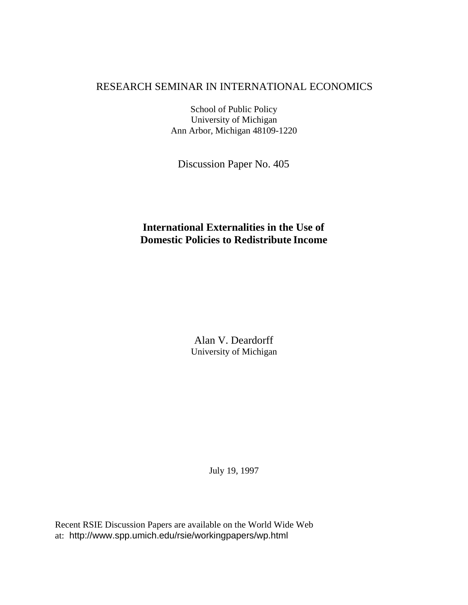## RESEARCH SEMINAR IN INTERNATIONAL ECONOMICS

School of Public Policy University of Michigan Ann Arbor, Michigan 48109-1220

Discussion Paper No. 405

# **International Externalities in the Use of Domestic Policies to Redistribute Income**

Alan V. Deardorff University of Michigan

July 19, 1997

Recent RSIE Discussion Papers are available on the World Wide Web at: http://www.spp.umich.edu/rsie/workingpapers/wp.html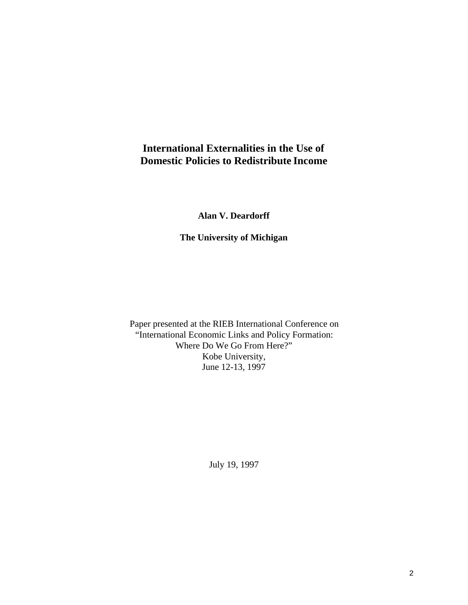# **International Externalities in the Use of Domestic Policies to Redistribute Income**

**Alan V. Deardorff**

**The University of Michigan**

Paper presented at the RIEB International Conference on "International Economic Links and Policy Formation: Where Do We Go From Here?" Kobe University, June 12-13, 1997

July 19, 1997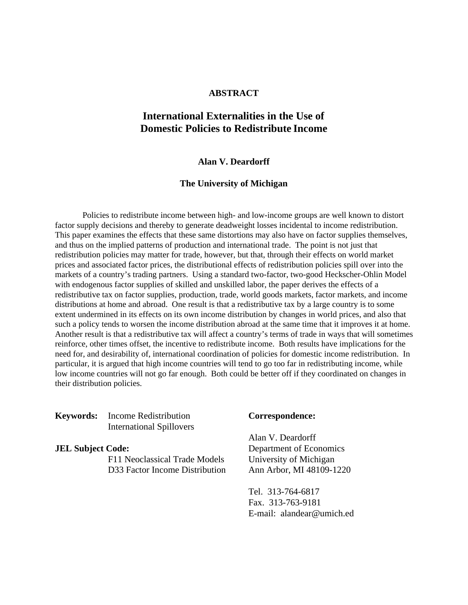## **ABSTRACT**

## **International Externalities in the Use of Domestic Policies to Redistribute Income**

### **Alan V. Deardorff**

#### **The University of Michigan**

Policies to redistribute income between high- and low-income groups are well known to distort factor supply decisions and thereby to generate deadweight losses incidental to income redistribution. This paper examines the effects that these same distortions may also have on factor supplies themselves, and thus on the implied patterns of production and international trade. The point is not just that redistribution policies may matter for trade, however, but that, through their effects on world market prices and associated factor prices, the distributional effects of redistribution policies spill over into the markets of a country's trading partners. Using a standard two-factor, two-good Heckscher-Ohlin Model with endogenous factor supplies of skilled and unskilled labor, the paper derives the effects of a redistributive tax on factor supplies, production, trade, world goods markets, factor markets, and income distributions at home and abroad. One result is that a redistributive tax by a large country is to some extent undermined in its effects on its own income distribution by changes in world prices, and also that such a policy tends to worsen the income distribution abroad at the same time that it improves it at home. Another result is that a redistributive tax will affect a country's terms of trade in ways that will sometimes reinforce, other times offset, the incentive to redistribute income. Both results have implications for the need for, and desirability of, international coordination of policies for domestic income redistribution. In particular, it is argued that high income countries will tend to go too far in redistributing income, while low income countries will not go far enough. Both could be better off if they coordinated on changes in their distribution policies.

## **Keywords:** Income Redistribution **Correspondence:** International Spillovers

F11 Neoclassical Trade Models University of Michigan D33 Factor Income Distribution Ann Arbor, MI 48109-1220

Alan V. Deardorff **JEL Subject Code:** Department of Economics

> Tel. 313-764-6817 Fax. 313-763-9181 E-mail: alandear@umich.ed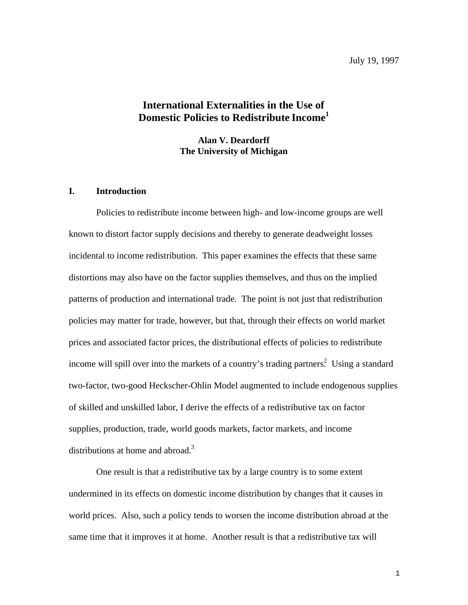July 19, 1997

## **International Externalities in the Use of Domestic Policies to Redistribute Income1**

**Alan V. Deardorff The University of Michigan**

## **I. Introduction**

Policies to redistribute income between high- and low-income groups are well known to distort factor supply decisions and thereby to generate deadweight losses incidental to income redistribution. This paper examines the effects that these same distortions may also have on the factor supplies themselves, and thus on the implied patterns of production and international trade. The point is not just that redistribution policies may matter for trade, however, but that, through their effects on world market prices and associated factor prices, the distributional effects of policies to redistribute income will spill over into the markets of a country's trading partners.<sup>2</sup> Using a standard two-factor, two-good Heckscher-Ohlin Model augmented to include endogenous supplies of skilled and unskilled labor, I derive the effects of a redistributive tax on factor supplies, production, trade, world goods markets, factor markets, and income distributions at home and abroad.<sup>3</sup>

One result is that a redistributive tax by a large country is to some extent undermined in its effects on domestic income distribution by changes that it causes in world prices. Also, such a policy tends to worsen the income distribution abroad at the same time that it improves it at home. Another result is that a redistributive tax will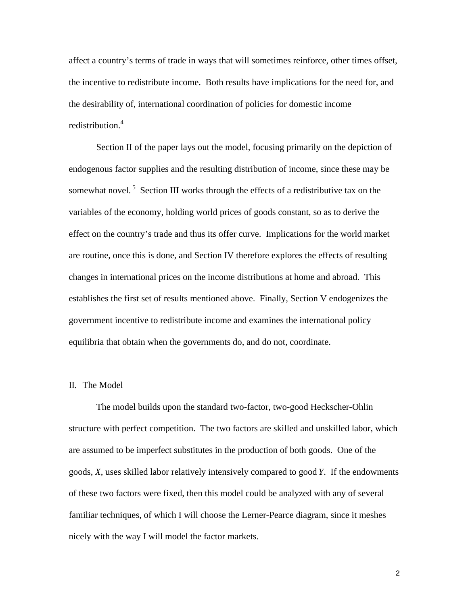affect a country's terms of trade in ways that will sometimes reinforce, other times offset, the incentive to redistribute income. Both results have implications for the need for, and the desirability of, international coordination of policies for domestic income redistribution.<sup>4</sup>

Section II of the paper lays out the model, focusing primarily on the depiction of endogenous factor supplies and the resulting distribution of income, since these may be somewhat novel.<sup>5</sup> Section III works through the effects of a redistributive tax on the variables of the economy, holding world prices of goods constant, so as to derive the effect on the country's trade and thus its offer curve. Implications for the world market are routine, once this is done, and Section IV therefore explores the effects of resulting changes in international prices on the income distributions at home and abroad. This establishes the first set of results mentioned above. Finally, Section V endogenizes the government incentive to redistribute income and examines the international policy equilibria that obtain when the governments do, and do not, coordinate.

### II. The Model

The model builds upon the standard two-factor, two-good Heckscher-Ohlin structure with perfect competition. The two factors are skilled and unskilled labor, which are assumed to be imperfect substitutes in the production of both goods. One of the goods, *X*, uses skilled labor relatively intensively compared to good *Y*. If the endowments of these two factors were fixed, then this model could be analyzed with any of several familiar techniques, of which I will choose the Lerner-Pearce diagram, since it meshes nicely with the way I will model the factor markets.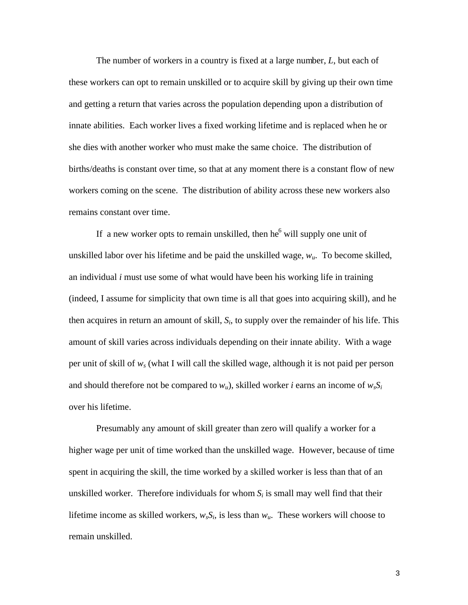The number of workers in a country is fixed at a large number, *L*, but each of these workers can opt to remain unskilled or to acquire skill by giving up their own time and getting a return that varies across the population depending upon a distribution of innate abilities. Each worker lives a fixed working lifetime and is replaced when he or she dies with another worker who must make the same choice. The distribution of births/deaths is constant over time, so that at any moment there is a constant flow of new workers coming on the scene. The distribution of ability across these new workers also remains constant over time.

If a new worker opts to remain unskilled, then  $he^6$  will supply one unit of unskilled labor over his lifetime and be paid the unskilled wage, *wu*. To become skilled, an individual *i* must use some of what would have been his working life in training (indeed, I assume for simplicity that own time is all that goes into acquiring skill), and he then acquires in return an amount of skill, *Si*, to supply over the remainder of his life. This amount of skill varies across individuals depending on their innate ability. With a wage per unit of skill of *ws* (what I will call the skilled wage, although it is not paid per person and should therefore not be compared to  $w_u$ ), skilled worker *i* earns an income of  $w_s S_i$ over his lifetime.

Presumably any amount of skill greater than zero will qualify a worker for a higher wage per unit of time worked than the unskilled wage. However, because of time spent in acquiring the skill, the time worked by a skilled worker is less than that of an unskilled worker. Therefore individuals for whom  $S_i$  is small may well find that their lifetime income as skilled workers,  $w_s S_i$ , is less than  $w_u$ . These workers will choose to remain unskilled.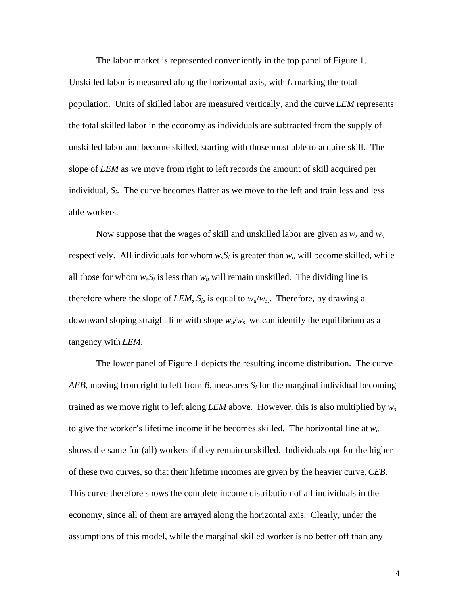The labor market is represented conveniently in the top panel of Figure 1.

Unskilled labor is measured along the horizontal axis, with *L* marking the total population. Units of skilled labor are measured vertically, and the curve *LEM* represents the total skilled labor in the economy as individuals are subtracted from the supply of unskilled labor and become skilled, starting with those most able to acquire skill. The slope of *LEM* as we move from right to left records the amount of skill acquired per individual, *Si*. The curve becomes flatter as we move to the left and train less and less able workers.

Now suppose that the wages of skill and unskilled labor are given as  $w_s$  and  $w_u$ respectively. All individuals for whom  $w_sS_i$  is greater than  $w_u$  will become skilled, while all those for whom  $w_s S_i$  is less than  $w_u$  will remain unskilled. The dividing line is therefore where the slope of *LEM*,  $S_i$ , is equal to  $w_u/w_s$ . Therefore, by drawing a downward sloping straight line with slope  $w_u/w_s$  we can identify the equilibrium as a tangency with *LEM*.

The lower panel of Figure 1 depicts the resulting income distribution. The curve *AEB*, moving from right to left from *B*, measures *Si* for the marginal individual becoming trained as we move right to left along *LEM* above. However, this is also multiplied by *ws* to give the worker's lifetime income if he becomes skilled. The horizontal line at  $w_u$ shows the same for (all) workers if they remain unskilled. Individuals opt for the higher of these two curves, so that their lifetime incomes are given by the heavier curve, *CEB*. This curve therefore shows the complete income distribution of all individuals in the economy, since all of them are arrayed along the horizontal axis. Clearly, under the assumptions of this model, while the marginal skilled worker is no better off than any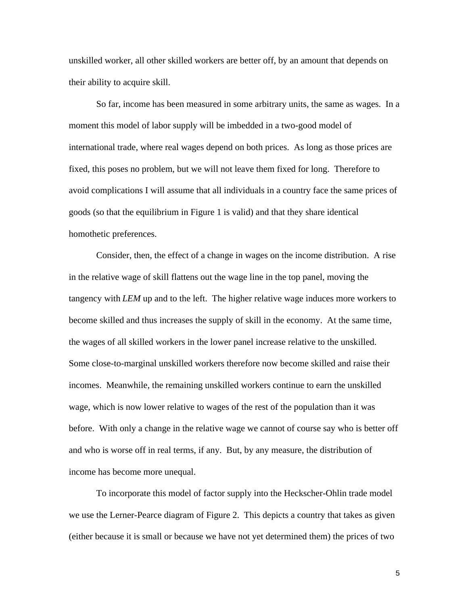unskilled worker, all other skilled workers are better off, by an amount that depends on their ability to acquire skill.

So far, income has been measured in some arbitrary units, the same as wages. In a moment this model of labor supply will be imbedded in a two-good model of international trade, where real wages depend on both prices. As long as those prices are fixed, this poses no problem, but we will not leave them fixed for long. Therefore to avoid complications I will assume that all individuals in a country face the same prices of goods (so that the equilibrium in Figure 1 is valid) and that they share identical homothetic preferences.

Consider, then, the effect of a change in wages on the income distribution. A rise in the relative wage of skill flattens out the wage line in the top panel, moving the tangency with *LEM* up and to the left. The higher relative wage induces more workers to become skilled and thus increases the supply of skill in the economy. At the same time, the wages of all skilled workers in the lower panel increase relative to the unskilled. Some close-to-marginal unskilled workers therefore now become skilled and raise their incomes. Meanwhile, the remaining unskilled workers continue to earn the unskilled wage, which is now lower relative to wages of the rest of the population than it was before. With only a change in the relative wage we cannot of course say who is better off and who is worse off in real terms, if any. But, by any measure, the distribution of income has become more unequal.

To incorporate this model of factor supply into the Heckscher-Ohlin trade model we use the Lerner-Pearce diagram of Figure 2. This depicts a country that takes as given (either because it is small or because we have not yet determined them) the prices of two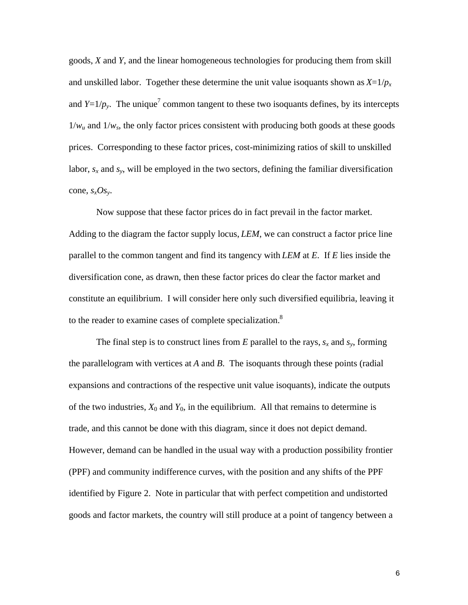goods, *X* and *Y*, and the linear homogeneous technologies for producing them from skill and unskilled labor. Together these determine the unit value isoquants shown as  $X=1/p_x$ and  $Y=1/p_y$ . The unique<sup>7</sup> common tangent to these two isoquants defines, by its intercepts  $1/w_u$  and  $1/w_s$ , the only factor prices consistent with producing both goods at these goods prices. Corresponding to these factor prices, cost-minimizing ratios of skill to unskilled labor,  $s_x$  and  $s_y$ , will be employed in the two sectors, defining the familiar diversification cone,  $s_xOs_y$ .

Now suppose that these factor prices do in fact prevail in the factor market. Adding to the diagram the factor supply locus, *LEM*, we can construct a factor price line parallel to the common tangent and find its tangency with *LEM* at *E*. If *E* lies inside the diversification cone, as drawn, then these factor prices do clear the factor market and constitute an equilibrium. I will consider here only such diversified equilibria, leaving it to the reader to examine cases of complete specialization.<sup>8</sup>

The final step is to construct lines from  $E$  parallel to the rays,  $s_x$  and  $s_y$ , forming the parallelogram with vertices at *A* and *B*. The isoquants through these points (radial expansions and contractions of the respective unit value isoquants), indicate the outputs of the two industries,  $X_0$  and  $Y_0$ , in the equilibrium. All that remains to determine is trade, and this cannot be done with this diagram, since it does not depict demand. However, demand can be handled in the usual way with a production possibility frontier (PPF) and community indifference curves, with the position and any shifts of the PPF identified by Figure 2. Note in particular that with perfect competition and undistorted goods and factor markets, the country will still produce at a point of tangency between a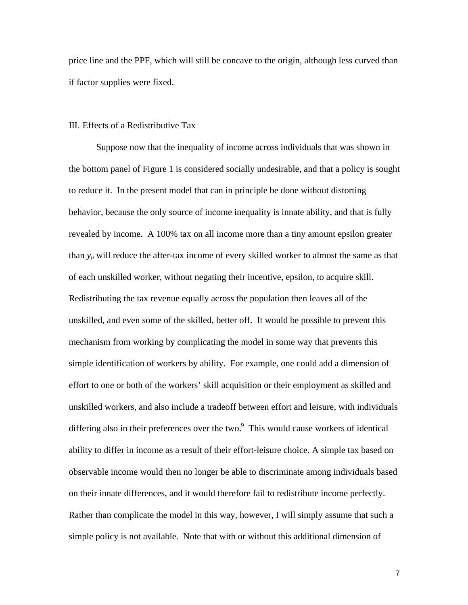price line and the PPF, which will still be concave to the origin, although less curved than if factor supplies were fixed.

## III. Effects of a Redistributive Tax

Suppose now that the inequality of income across individuals that was shown in the bottom panel of Figure 1 is considered socially undesirable, and that a policy is sought to reduce it. In the present model that can in principle be done without distorting behavior, because the only source of income inequality is innate ability, and that is fully revealed by income. A 100% tax on all income more than a tiny amount epsilon greater than  $y_u$  will reduce the after-tax income of every skilled worker to almost the same as that of each unskilled worker, without negating their incentive, epsilon, to acquire skill. Redistributing the tax revenue equally across the population then leaves all of the unskilled, and even some of the skilled, better off. It would be possible to prevent this mechanism from working by complicating the model in some way that prevents this simple identification of workers by ability. For example, one could add a dimension of effort to one or both of the workers' skill acquisition or their employment as skilled and unskilled workers, and also include a tradeoff between effort and leisure, with individuals differing also in their preferences over the two. $9$  This would cause workers of identical ability to differ in income as a result of their effort-leisure choice. A simple tax based on observable income would then no longer be able to discriminate among individuals based on their innate differences, and it would therefore fail to redistribute income perfectly. Rather than complicate the model in this way, however, I will simply assume that such a simple policy is not available. Note that with or without this additional dimension of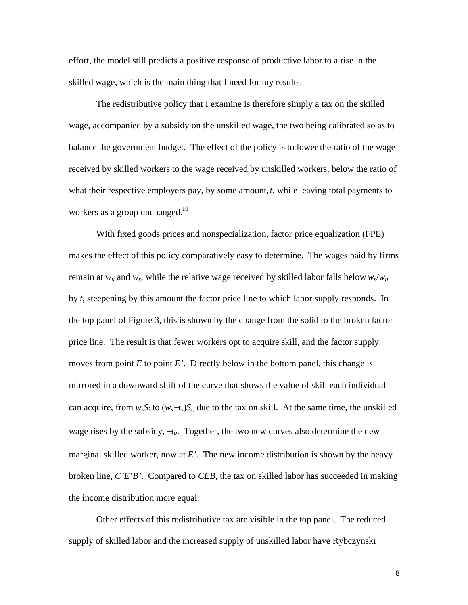effort, the model still predicts a positive response of productive labor to a rise in the skilled wage, which is the main thing that I need for my results.

The redistributive policy that I examine is therefore simply a tax on the skilled wage, accompanied by a subsidy on the unskilled wage, the two being calibrated so as to balance the government budget. The effect of the policy is to lower the ratio of the wage received by skilled workers to the wage received by unskilled workers, below the ratio of what their respective employers pay, by some amount, *t*, while leaving total payments to workers as a group unchanged.<sup>10</sup>

With fixed goods prices and nonspecialization, factor price equalization (FPE) makes the effect of this policy comparatively easy to determine. The wages paid by firms remain at  $w_u$  and  $w_s$ , while the relative wage received by skilled labor falls below  $w_s/w_u$ by *t*, steepening by this amount the factor price line to which labor supply responds. In the top panel of Figure 3, this is shown by the change from the solid to the broken factor price line. The result is that fewer workers opt to acquire skill, and the factor supply moves from point  $E$  to point  $E'$ . Directly below in the bottom panel, this change is mirrored in a downward shift of the curve that shows the value of skill each individual can acquire, from  $w_sS_i$  to  $(w_s-t_s)S_i$ , due to the tax on skill. At the same time, the unskilled wage rises by the subsidy, −*tu*. Together, the two new curves also determine the new marginal skilled worker, now at *E'*. The new income distribution is shown by the heavy broken line, *C'E'B'*. Compared to *CEB*, the tax on skilled labor has succeeded in making the income distribution more equal.

Other effects of this redistributive tax are visible in the top panel. The reduced supply of skilled labor and the increased supply of unskilled labor have Rybczynski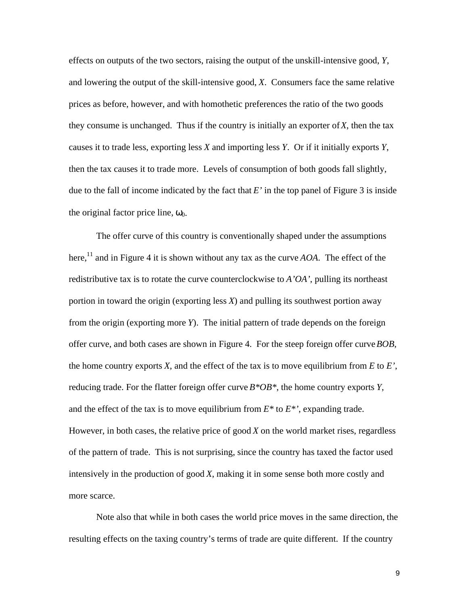effects on outputs of the two sectors, raising the output of the unskill-intensive good, *Y*, and lowering the output of the skill-intensive good, *X*. Consumers face the same relative prices as before, however, and with homothetic preferences the ratio of the two goods they consume is unchanged. Thus if the country is initially an exporter of *X*, then the tax causes it to trade less, exporting less *X* and importing less *Y*. Or if it initially exports *Y*, then the tax causes it to trade more. Levels of consumption of both goods fall slightly, due to the fall of income indicated by the fact that  $E'$  in the top panel of Figure 3 is inside the original factor price line,  $\omega_0$ .

The offer curve of this country is conventionally shaped under the assumptions here,<sup>11</sup> and in Figure 4 it is shown without any tax as the curve  $AOA$ . The effect of the redistributive tax is to rotate the curve counterclockwise to *A'OA'*, pulling its northeast portion in toward the origin (exporting less *X*) and pulling its southwest portion away from the origin (exporting more *Y*). The initial pattern of trade depends on the foreign offer curve, and both cases are shown in Figure 4. For the steep foreign offer curve *BOB*, the home country exports  $X$ , and the effect of the tax is to move equilibrium from  $E$  to  $E'$ , reducing trade. For the flatter foreign offer curve *B\*OB\**, the home country exports *Y*, and the effect of the tax is to move equilibrium from *E\** to *E\*'*, expanding trade. However, in both cases, the relative price of good *X* on the world market rises, regardless of the pattern of trade. This is not surprising, since the country has taxed the factor used intensively in the production of good *X*, making it in some sense both more costly and more scarce.

Note also that while in both cases the world price moves in the same direction, the resulting effects on the taxing country's terms of trade are quite different. If the country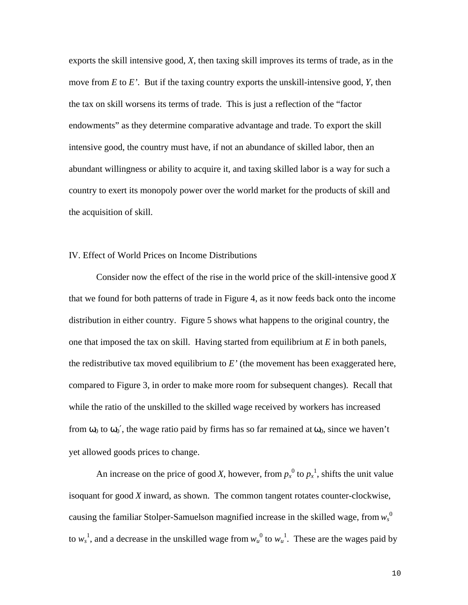exports the skill intensive good, *X*, then taxing skill improves its terms of trade, as in the move from *E* to *E'*. But if the taxing country exports the unskill-intensive good, *Y*, then the tax on skill worsens its terms of trade. This is just a reflection of the "factor endowments" as they determine comparative advantage and trade. To export the skill intensive good, the country must have, if not an abundance of skilled labor, then an abundant willingness or ability to acquire it, and taxing skilled labor is a way for such a country to exert its monopoly power over the world market for the products of skill and the acquisition of skill.

## IV. Effect of World Prices on Income Distributions

Consider now the effect of the rise in the world price of the skill-intensive good *X* that we found for both patterns of trade in Figure 4, as it now feeds back onto the income distribution in either country. Figure 5 shows what happens to the original country, the one that imposed the tax on skill. Having started from equilibrium at *E* in both panels, the redistributive tax moved equilibrium to *E'* (the movement has been exaggerated here, compared to Figure 3, in order to make more room for subsequent changes). Recall that while the ratio of the unskilled to the skilled wage received by workers has increased from  $\omega_0$  to  $\omega_0'$ , the wage ratio paid by firms has so far remained at  $\omega_0$ , since we haven't yet allowed goods prices to change.

An increase on the price of good *X*, however, from  $p_x^0$  to  $p_x^1$ , shifts the unit value isoquant for good *X* inward, as shown. The common tangent rotates counter-clockwise, causing the familiar Stolper-Samuelson magnified increase in the skilled wage, from *ws* 0 to  $w_s^1$ , and a decrease in the unskilled wage from  $w_u^0$  to  $w_u^1$ . These are the wages paid by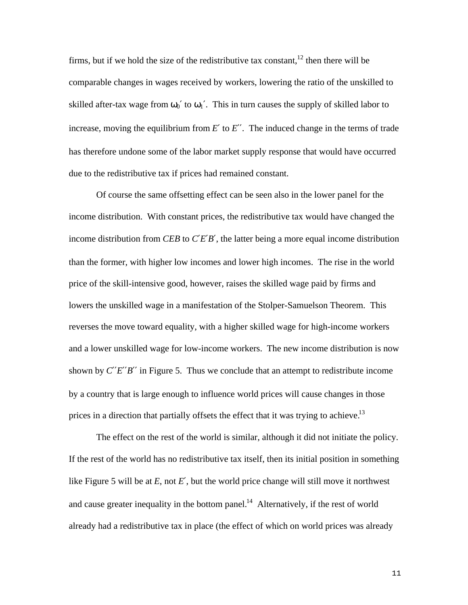firms, but if we hold the size of the redistributive tax constant.<sup>12</sup> then there will be comparable changes in wages received by workers, lowering the ratio of the unskilled to skilled after-tax wage from  $\omega_0'$  to  $\omega_1'$ . This in turn causes the supply of skilled labor to increase, moving the equilibrium from  $E'$  to  $E''$ . The induced change in the terms of trade has therefore undone some of the labor market supply response that would have occurred due to the redistributive tax if prices had remained constant.

Of course the same offsetting effect can be seen also in the lower panel for the income distribution. With constant prices, the redistributive tax would have changed the income distribution from *CEB* to *C*′*E*′*B*′, the latter being a more equal income distribution than the former, with higher low incomes and lower high incomes. The rise in the world price of the skill-intensive good, however, raises the skilled wage paid by firms and lowers the unskilled wage in a manifestation of the Stolper-Samuelson Theorem. This reverses the move toward equality, with a higher skilled wage for high-income workers and a lower unskilled wage for low-income workers. The new income distribution is now shown by  $C^{\prime\prime}E^{\prime\prime}B^{\prime\prime}$  in Figure 5. Thus we conclude that an attempt to redistribute income by a country that is large enough to influence world prices will cause changes in those prices in a direction that partially offsets the effect that it was trying to achieve.<sup>13</sup>

The effect on the rest of the world is similar, although it did not initiate the policy. If the rest of the world has no redistributive tax itself, then its initial position in something like Figure 5 will be at *E*, not *E*′, but the world price change will still move it northwest and cause greater inequality in the bottom panel.<sup>14</sup> Alternatively, if the rest of world already had a redistributive tax in place (the effect of which on world prices was already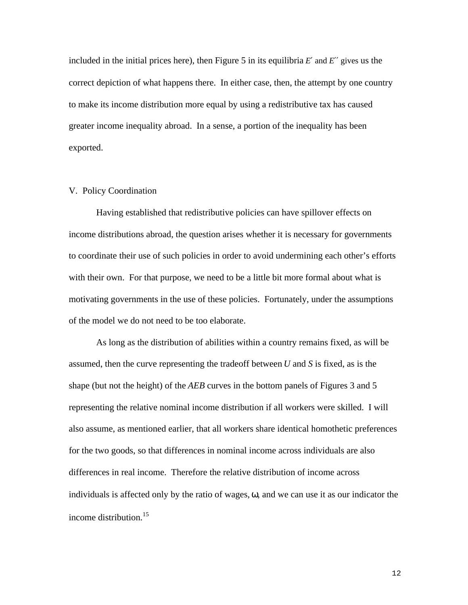included in the initial prices here), then Figure 5 in its equilibria  $E'$  and  $E''$  gives us the correct depiction of what happens there. In either case, then, the attempt by one country to make its income distribution more equal by using a redistributive tax has caused greater income inequality abroad. In a sense, a portion of the inequality has been exported.

## V. Policy Coordination

Having established that redistributive policies can have spillover effects on income distributions abroad, the question arises whether it is necessary for governments to coordinate their use of such policies in order to avoid undermining each other's efforts with their own. For that purpose, we need to be a little bit more formal about what is motivating governments in the use of these policies. Fortunately, under the assumptions of the model we do not need to be too elaborate.

As long as the distribution of abilities within a country remains fixed, as will be assumed, then the curve representing the tradeoff between *U* and *S* is fixed, as is the shape (but not the height) of the *AEB* curves in the bottom panels of Figures 3 and 5 representing the relative nominal income distribution if all workers were skilled. I will also assume, as mentioned earlier, that all workers share identical homothetic preferences for the two goods, so that differences in nominal income across individuals are also differences in real income. Therefore the relative distribution of income across individuals is affected only by the ratio of wages, ω, and we can use it as our indicator the income distribution.<sup>15</sup>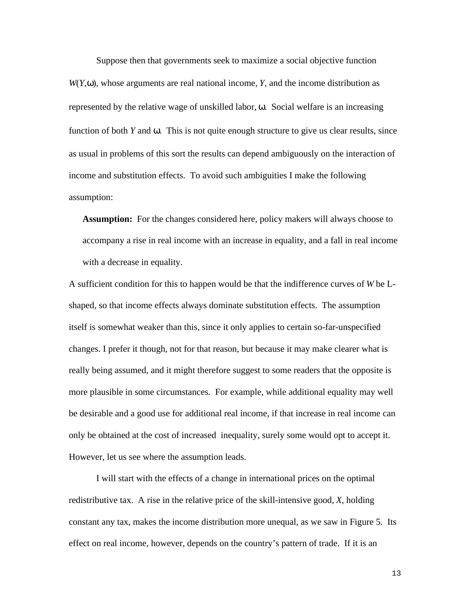Suppose then that governments seek to maximize a social objective function  $W(Y, \omega)$ , whose arguments are real national income, *Y*, and the income distribution as represented by the relative wage of unskilled labor, ω. Social welfare is an increasing function of both *Y* and ω. This is not quite enough structure to give us clear results, since as usual in problems of this sort the results can depend ambiguously on the interaction of income and substitution effects. To avoid such ambiguities I make the following assumption:

**Assumption:** For the changes considered here, policy makers will always choose to accompany a rise in real income with an increase in equality, and a fall in real income with a decrease in equality.

A sufficient condition for this to happen would be that the indifference curves of *W* be Lshaped, so that income effects always dominate substitution effects. The assumption itself is somewhat weaker than this, since it only applies to certain so-far-unspecified changes. I prefer it though, not for that reason, but because it may make clearer what is really being assumed, and it might therefore suggest to some readers that the opposite is more plausible in some circumstances. For example, while additional equality may well be desirable and a good use for additional real income, if that increase in real income can only be obtained at the cost of increased inequality, surely some would opt to accept it. However, let us see where the assumption leads.

I will start with the effects of a change in international prices on the optimal redistributive tax. A rise in the relative price of the skill-intensive good, *X*, holding constant any tax, makes the income distribution more unequal, as we saw in Figure 5. Its effect on real income, however, depends on the country's pattern of trade. If it is an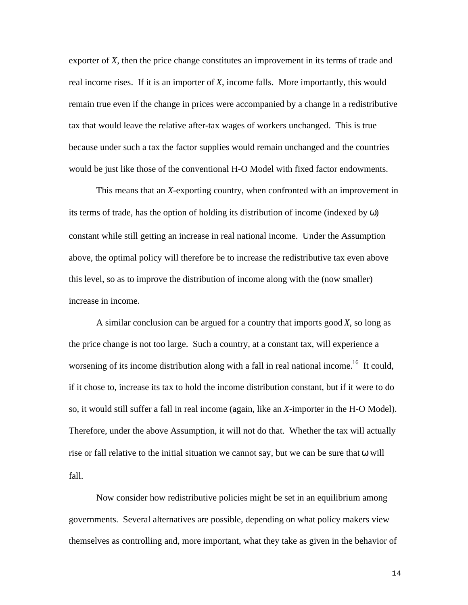exporter of *X*, then the price change constitutes an improvement in its terms of trade and real income rises. If it is an importer of *X*, income falls. More importantly, this would remain true even if the change in prices were accompanied by a change in a redistributive tax that would leave the relative after-tax wages of workers unchanged. This is true because under such a tax the factor supplies would remain unchanged and the countries would be just like those of the conventional H-O Model with fixed factor endowments.

This means that an *X*-exporting country, when confronted with an improvement in its terms of trade, has the option of holding its distribution of income (indexed by  $\omega$ ) constant while still getting an increase in real national income. Under the Assumption above, the optimal policy will therefore be to increase the redistributive tax even above this level, so as to improve the distribution of income along with the (now smaller) increase in income.

A similar conclusion can be argued for a country that imports good *X*, so long as the price change is not too large. Such a country, at a constant tax, will experience a worsening of its income distribution along with a fall in real national income.<sup>16</sup> It could, if it chose to, increase its tax to hold the income distribution constant, but if it were to do so, it would still suffer a fall in real income (again, like an *X*-importer in the H-O Model). Therefore, under the above Assumption, it will not do that. Whether the tax will actually rise or fall relative to the initial situation we cannot say, but we can be sure that ω will fall.

Now consider how redistributive policies might be set in an equilibrium among governments. Several alternatives are possible, depending on what policy makers view themselves as controlling and, more important, what they take as given in the behavior of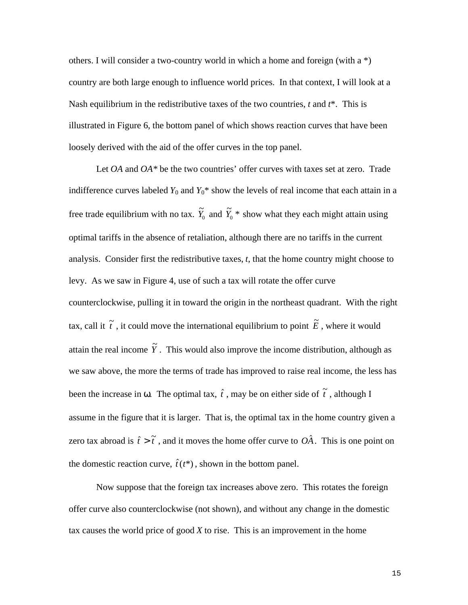others. I will consider a two-country world in which a home and foreign (with a \*) country are both large enough to influence world prices. In that context, I will look at a Nash equilibrium in the redistributive taxes of the two countries, *t* and *t*\*. This is illustrated in Figure 6, the bottom panel of which shows reaction curves that have been loosely derived with the aid of the offer curves in the top panel.

Let *OA* and *OA\** be the two countries' offer curves with taxes set at zero. Trade indifference curves labeled  $Y_0$  and  $Y_0^*$  show the levels of real income that each attain in a free trade equilibrium with no tax.  $\tilde{Y}_0$  and  $\tilde{Y}_0$  \* show what they each might attain using optimal tariffs in the absence of retaliation, although there are no tariffs in the current analysis. Consider first the redistributive taxes, *t*, that the home country might choose to levy. As we saw in Figure 4, use of such a tax will rotate the offer curve counterclockwise, pulling it in toward the origin in the northeast quadrant. With the right tax, call it  $\tilde{t}$  , it could move the international equilibrium to point  $\tilde{E}$  , where it would attain the real income  $\widetilde{Y}$  . This would also improve the income distribution, although as we saw above, the more the terms of trade has improved to raise real income, the less has been the increase in  $\omega$ . The optimal tax,  $\hat{t}$ , may be on either side of  $\tilde{t}$ , although I assume in the figure that it is larger. That is, the optimal tax in the home country given a zero tax abroad is  $\hat{t} > \tilde{t}$ , and it moves the home offer curve to  $O\hat{A}$ . This is one point on the domestic reaction curve,  $\hat{t}(t^*)$ , shown in the bottom panel.

Now suppose that the foreign tax increases above zero. This rotates the foreign offer curve also counterclockwise (not shown), and without any change in the domestic tax causes the world price of good *X* to rise. This is an improvement in the home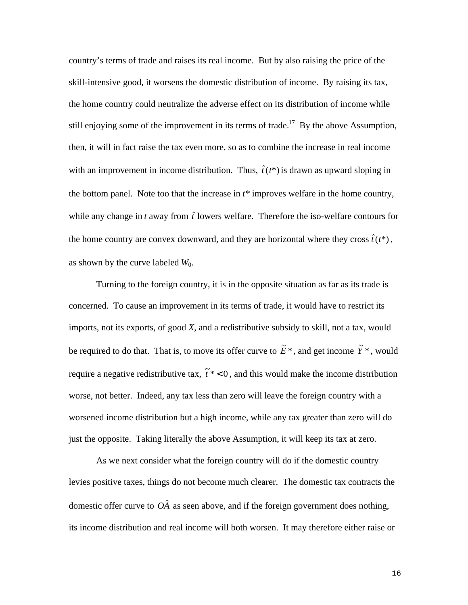country's terms of trade and raises its real income. But by also raising the price of the skill-intensive good, it worsens the domestic distribution of income. By raising its tax, the home country could neutralize the adverse effect on its distribution of income while still enjoying some of the improvement in its terms of trade.<sup>17</sup> By the above Assumption, then, it will in fact raise the tax even more, so as to combine the increase in real income with an improvement in income distribution. Thus,  $\hat{t}(t^*)$  is drawn as upward sloping in the bottom panel. Note too that the increase in *t\** improves welfare in the home country, while any change in  $t$  away from  $\hat{t}$  lowers welfare. Therefore the iso-welfare contours for the home country are convex downward, and they are horizontal where they cross  $\hat{t}(t^*)$ , as shown by the curve labeled *W*0.

Turning to the foreign country, it is in the opposite situation as far as its trade is concerned. To cause an improvement in its terms of trade, it would have to restrict its imports, not its exports, of good *X*, and a redistributive subsidy to skill, not a tax, would be required to do that. That is, to move its offer curve to  $\tilde{E}^*$ , and get income  $\tilde{Y}^*$ , would require a negative redistributive tax,  $\tilde{t}^*$  < 0, and this would make the income distribution worse, not better. Indeed, any tax less than zero will leave the foreign country with a worsened income distribution but a high income, while any tax greater than zero will do just the opposite. Taking literally the above Assumption, it will keep its tax at zero.

As we next consider what the foreign country will do if the domestic country levies positive taxes, things do not become much clearer. The domestic tax contracts the domestic offer curve to  $O\hat{A}$  as seen above, and if the foreign government does nothing, its income distribution and real income will both worsen. It may therefore either raise or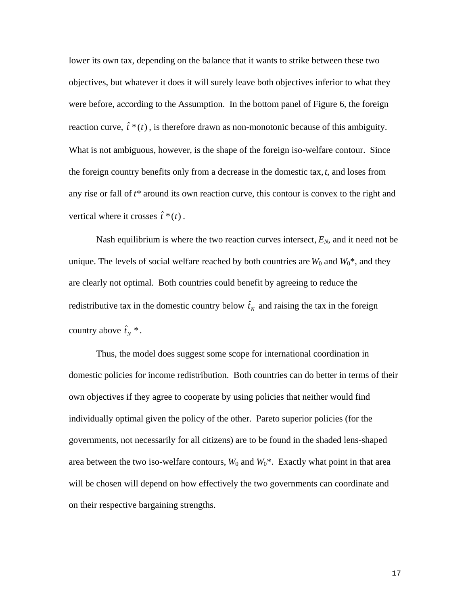lower its own tax, depending on the balance that it wants to strike between these two objectives, but whatever it does it will surely leave both objectives inferior to what they were before, according to the Assumption. In the bottom panel of Figure 6, the foreign reaction curve,  $\hat{t}^*(t)$ , is therefore drawn as non-monotonic because of this ambiguity. What is not ambiguous, however, is the shape of the foreign iso-welfare contour. Since the foreign country benefits only from a decrease in the domestic tax, *t*, and loses from any rise or fall of *t\** around its own reaction curve, this contour is convex to the right and vertical where it crosses  $\hat{t}^*(t)$ .

Nash equilibrium is where the two reaction curves intersect,  $E_N$ , and it need not be unique. The levels of social welfare reached by both countries are  $W_0$  and  $W_0^*$ , and they are clearly not optimal. Both countries could benefit by agreeing to reduce the redistributive tax in the domestic country below  $\hat{t}_N$  and raising the tax in the foreign country above  $\hat{t}_N^*$ .

Thus, the model does suggest some scope for international coordination in domestic policies for income redistribution. Both countries can do better in terms of their own objectives if they agree to cooperate by using policies that neither would find individually optimal given the policy of the other. Pareto superior policies (for the governments, not necessarily for all citizens) are to be found in the shaded lens-shaped area between the two iso-welfare contours,  $W_0$  and  $W_0^*$ . Exactly what point in that area will be chosen will depend on how effectively the two governments can coordinate and on their respective bargaining strengths.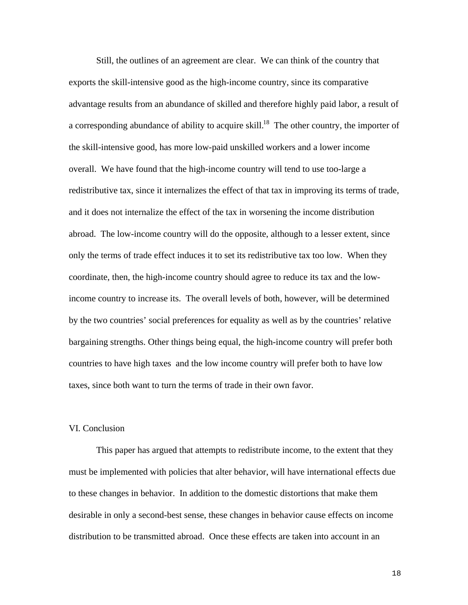Still, the outlines of an agreement are clear. We can think of the country that exports the skill-intensive good as the high-income country, since its comparative advantage results from an abundance of skilled and therefore highly paid labor, a result of a corresponding abundance of ability to acquire skill.<sup>18</sup> The other country, the importer of the skill-intensive good, has more low-paid unskilled workers and a lower income overall. We have found that the high-income country will tend to use too-large a redistributive tax, since it internalizes the effect of that tax in improving its terms of trade, and it does not internalize the effect of the tax in worsening the income distribution abroad. The low-income country will do the opposite, although to a lesser extent, since only the terms of trade effect induces it to set its redistributive tax too low. When they coordinate, then, the high-income country should agree to reduce its tax and the lowincome country to increase its. The overall levels of both, however, will be determined by the two countries' social preferences for equality as well as by the countries' relative bargaining strengths. Other things being equal, the high-income country will prefer both countries to have high taxes and the low income country will prefer both to have low taxes, since both want to turn the terms of trade in their own favor.

## VI. Conclusion

This paper has argued that attempts to redistribute income, to the extent that they must be implemented with policies that alter behavior, will have international effects due to these changes in behavior. In addition to the domestic distortions that make them desirable in only a second-best sense, these changes in behavior cause effects on income distribution to be transmitted abroad. Once these effects are taken into account in an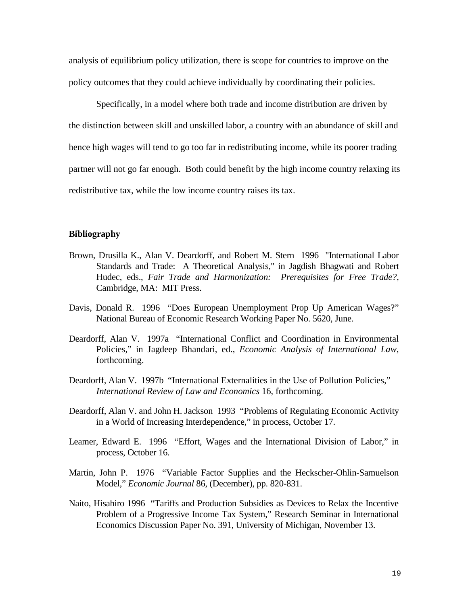analysis of equilibrium policy utilization, there is scope for countries to improve on the policy outcomes that they could achieve individually by coordinating their policies.

Specifically, in a model where both trade and income distribution are driven by the distinction between skill and unskilled labor, a country with an abundance of skill and hence high wages will tend to go too far in redistributing income, while its poorer trading partner will not go far enough. Both could benefit by the high income country relaxing its redistributive tax, while the low income country raises its tax.

### **Bibliography**

- Brown, Drusilla K., Alan V. Deardorff, and Robert M. Stern 1996 "International Labor Standards and Trade: A Theoretical Analysis," in Jagdish Bhagwati and Robert Hudec, eds., *Fair Trade and Harmonization: Prerequisites for Free Trade?*, Cambridge, MA: MIT Press.
- Davis, Donald R. 1996 "Does European Unemployment Prop Up American Wages?" National Bureau of Economic Research Working Paper No. 5620, June.
- Deardorff, Alan V. 1997a "International Conflict and Coordination in Environmental Policies," in Jagdeep Bhandari, ed., *Economic Analysis of International Law*, forthcoming.
- Deardorff, Alan V. 1997b "International Externalities in the Use of Pollution Policies," *International Review of Law and Economics* 16, forthcoming.
- Deardorff, Alan V. and John H. Jackson 1993 "Problems of Regulating Economic Activity in a World of Increasing Interdependence," in process, October 17.
- Leamer, Edward E. 1996 "Effort, Wages and the International Division of Labor," in process, October 16.
- Martin, John P. 1976 "Variable Factor Supplies and the Heckscher-Ohlin-Samuelson Model," *Economic Journal* 86, (December), pp. 820-831.
- Naito, Hisahiro 1996 "Tariffs and Production Subsidies as Devices to Relax the Incentive Problem of a Progressive Income Tax System," Research Seminar in International Economics Discussion Paper No. 391, University of Michigan, November 13.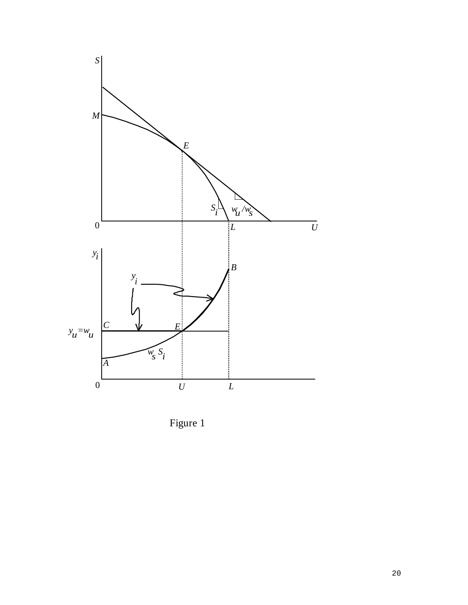

Figure 1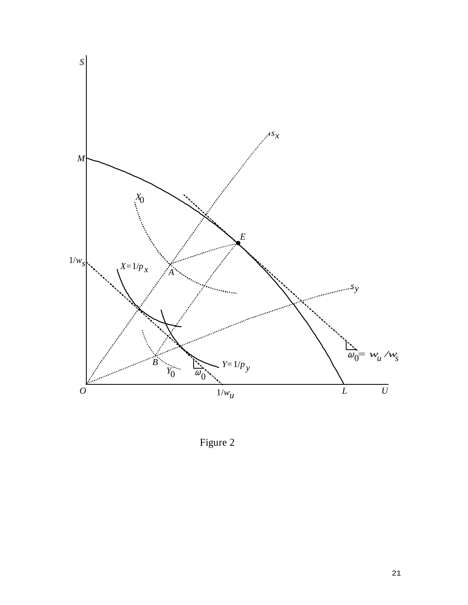

Figure 2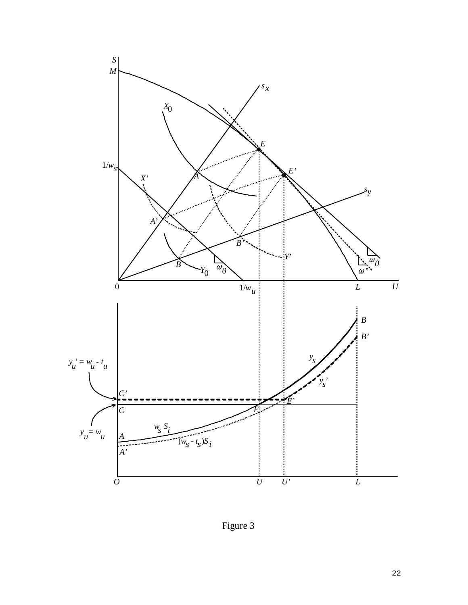

Figure 3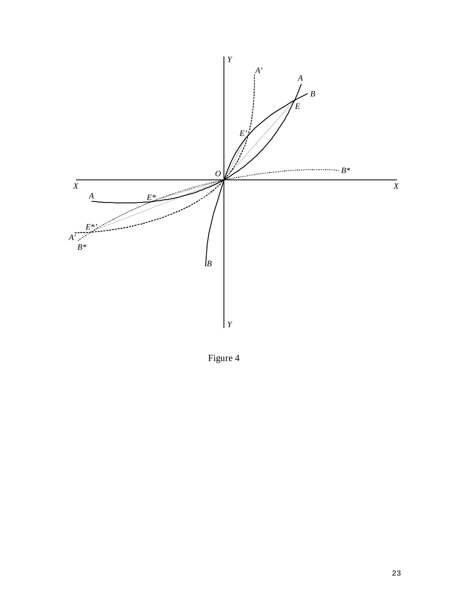

Figure 4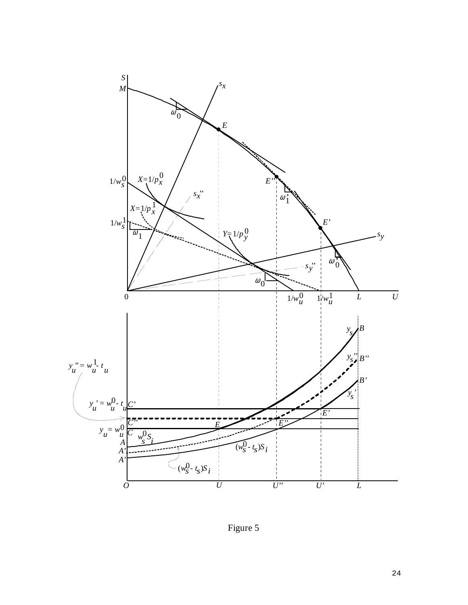

Figure 5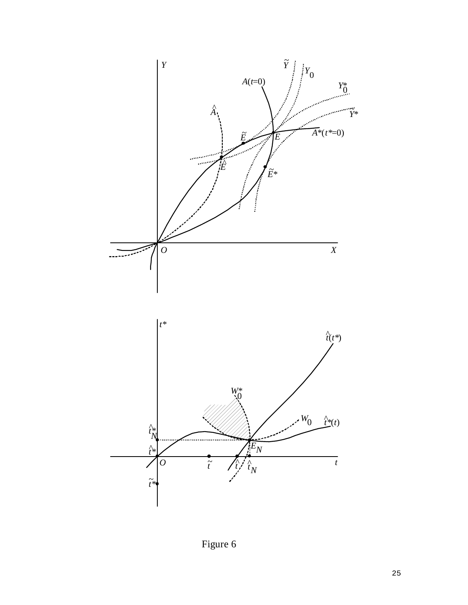

Figure 6